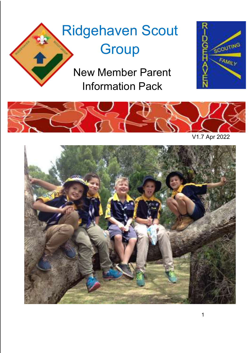# Ridgehaven Scout **Group**

New Member Parent Information Pack





V1.7 Apr 2022

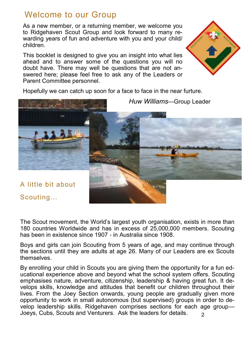## Welcome to our Group

As a new member, or a returning member, we welcome you to Ridgehaven Scout Group and look forward to many rewarding years of fun and adventure with you and your child/ children.

This booklet is designed to give you an insight into what lies ahead and to answer some of the questions you will no doubt have. There may well be questions that are not answered here; please feel free to ask any of the Leaders or Parent Committee personnel.

Hopefully we can catch up soon for a face to face in the near furture.

A little bit about

Scouting...

The Scout movement, the World's largest youth organisation, exists in more than 180 countries Worldwide and has in excess of 25,000,000 members. Scouting has been in existence since 1907 - in Australia since 1908.

Boys and girls can join Scouting from 5 years of age, and may continue through the sections until they are adults at age 26. Many of our Leaders are ex Scouts themselves.

 $\mathcal{L}$ By enrolling your child in Scouts you are giving them the opportunity for a fun educational experience above and beyond what the school system offers. Scouting emphasises nature, adventure, citizenship, leadership & having great fun. It develops skills, knowledge and attitudes that benefit our children throughout their lives. From the Joey Section onwards, young people are gradually given more opportunity to work in small autonomous (but supervised) groups in order to develop leadership skills. Ridgehaven comprises sections for each age group— Joeys, Cubs, Scouts and Venturers. Ask the leaders for details.



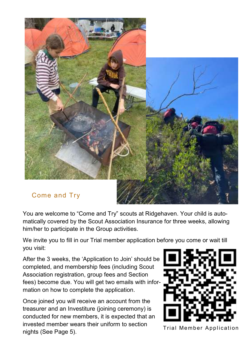

You are welcome to "Come and Try" scouts at Ridgehaven. Your child is automatically covered by the Scout Association Insurance for three weeks, allowing him/her to participate in the Group activities.

We invite you to fill in our Trial member application before you come or wait till you visit:

After the 3 weeks, the 'Application to Join' should be completed, and membership fees (including Scout Association registration, group fees and Section fees) become due. You will get two emails with information on how to complete the application.

Once joined you will receive an account from the treasurer and an Investiture (joining ceremony) is conducted for new members, it is expected that an invested member wears their uniform to section nivested member wears alon allows to secure.<br>Trial Member Application nights (See Page 5).

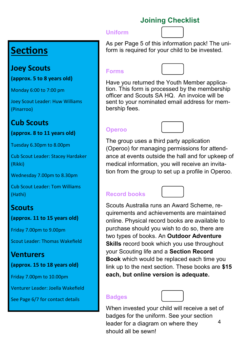### **Joining Checklist**

#### **Uniform**



**Sections**

### **Joey Scouts**

**(approx. 5 to 8 years old)**

Monday 6:00 to 7:00 pm

Joey Scout Leader: Huw Williams (Pinarroo)

## **Cub Scouts**

**(approx. 8 to 11 years old)**

Tuesday 6.30pm to 8.00pm

Cub Scout Leader: Stacey Hardaker (Rikki)

Wednesday 7.00pm to 8.30pm

Cub Scout Leader: Tom Williams (Hathi)

## **Scouts**

**(approx. 11 to 15 years old)**

Friday 7.00pm to 9.00pm

Scout Leader: Thomas Wakefield

## **Venturers**

**(approx. 15 to 18 years old)**

Friday 7.00pm to 10.00pm

Venturer Leader: Joella Wakefield

See Page 6/7 for contact details

As per Page 5 of this information pack! The uniform is required for your child to be invested.

#### **Forms**



Have you returned the Youth Member application. This form is processed by the membership officer and Scouts SA HQ. An invoice will be sent to your nominated email address for membership fees.

### **Operoo**



The group uses a third party application (Operoo) for managing permissions for attendance at events outside the hall and for upkeep of medical information, you will receive an invitation from the group to set up a profile in Operoo.

### **Record books**



Scouts Australia runs an Award Scheme, requirements and achievements are maintained online. Physical record books are available to purchase should you wish to do so, there are two types of books. An **Outdoor Adventure Skills** record book which you use throughout your Scouting life and a **Section Record Book** which would be replaced each time you link up to the next section. These books are **\$15 each, but online version is adequate.**

#### **Badges**



badges for the uniform. See your section When invested your child will receive a set of leader for a diagram on where they should all be sewn! 4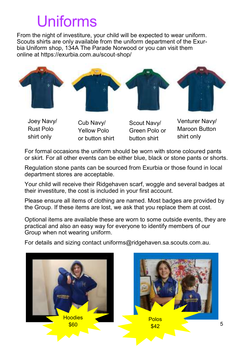# Uniforms

From the night of investiture, your child will be expected to wear uniform. Scouts shirts are only available from the uniform department of the Exurbia Uniform shop, 134A The Parade Norwood or you can visit them online at https://exurbia.com.au/scout-shop/



Joey Navy/ Rust Polo shirt only

- Cub Navy/ Yellow Polo or button shirt
- Scout Navy/ Green Polo or button shirt

Venturer Navy/ Maroon Button shirt only

For formal occasions the uniform should be worn with stone coloured pants or skirt. For all other events can be either blue, black or stone pants or shorts.

Regulation stone pants can be sourced from Exurbia or those found in local department stores are acceptable.

Your child will receive their Ridgehaven scarf, woggle and several badges at their investiture, the cost is included in your first account.

Please ensure all items of clothing are named. Most badges are provided by the Group. If these items are lost, we ask that you replace them at cost.

Optional items are available these are worn to some outside events, they are practical and also an easy way for everyone to identify members of our Group when not wearing uniform.

For details and sizing contact uniforms@ridgehaven.sa.scouts.com.au.

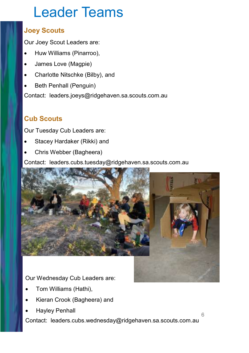# Leader Teams

### **Joey Scouts**

Our Joey Scout Leaders are:

- Huw Williams (Pinarroo),
- James Love (Magpie)
- Charlotte Nitschke (Bilby), and
- Beth Penhall (Penguin)

Contact: leaders.joeys@ridgehaven.sa.scouts.com.au

## **Cub Scouts**

Our Tuesday Cub Leaders are:

- Stacey Hardaker (Rikki) and
- Chris Webber (Bagheera)

Contact: leaders.cubs.tuesday@ridgehaven.sa.scouts.com.au



Our Wednesday Cub Leaders are:

- Tom Williams (Hathi),
- Kieran Crook (Bagheera) and
- Hayley Penhall

Contact: leaders.cubs.wednesday@ridgehaven.sa.scouts.com.au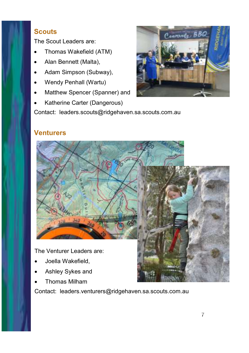### **Scouts**

The Scout Leaders are:

- Thomas Wakefield (ATM)
- Alan Bennett (Malta),
- Adam Simpson (Subway),
- Wendy Penhall (Wartu)
- Matthew Spencer (Spanner) and
- Katherine Carter (Dangerous)

Contact: leaders.scouts@ridgehaven.sa.scouts.com.au



#### **Venturers**



The Venturer Leaders are:

- Joella Wakefield,
- Ashley Sykes and
- Thomas Milham

Contact: leaders.venturers@ridgehaven.sa.scouts.com.au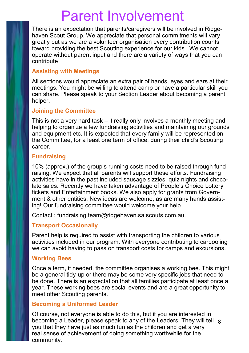# Parent Involvement

There is an expectation that parents/caregivers will be involved in Ridgehaven Scout Group. We appreciate that personal commitments will vary greatly but as we are a volunteer organisation every contribution counts toward providing the best Scouting experience for our kids. We cannot operate without parent input and there are a variety of ways that you can contribute

#### **Assisting with Meetings**

All sections would appreciate an extra pair of hands, eyes and ears at their meetings. You might be willing to attend camp or have a particular skill you can share. Please speak to your Section Leader about becoming a parent helper.

#### **Joining the Committee**

This is not a very hard task – it really only involves a monthly meeting and helping to organize a few fundraising activities and maintaining our grounds and equipment etc. It is expected that every family will be represented on the Committee, for a least one term of office, during their child's Scouting career.

#### **Fundraising**

10% (approx.) of the group's running costs need to be raised through fundraising. We expect that all parents will support these efforts. Fundraising activities have in the past included sausage sizzles, quiz nights and chocolate sales. Recently we have taken advantage of People's Choice Lottery tickets and Entertainment books. We also apply for grants from Government & other entities. New ideas are welcome, as are many hands assisting! Our fundraising committee would welcome your help.

Contact : fundraising.team@ridgehaven.sa.scouts.com.au.

#### **Transport Occasionally**

Parent help is required to assist with transporting the children to various activities included in our program. With everyone contributing to carpooling we can avoid having to pass on transport costs for camps and excursions.

#### **Working Bees**

Once a term, if needed, the committee organises a working bee. This might be a general tidy-up or there may be some very specific jobs that need to be done. There is an expectation that all families participate at least once a year. These working bees are social events and are a great opportunity to meet other Scouting parents.

#### **Becoming a Uniformed Leader**

Of course, not everyone is able to do this, but if you are interested in becoming a Leader, please speak to any of the Leaders. They will tell 8you that they have just as much fun as the children and get a very real sense of achievement of doing something worthwhile for the community.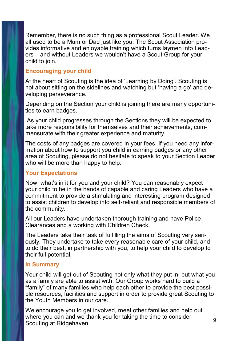Remember, there is no such thing as a professional Scout Leader. We all used to be a Mum or Dad just like you. The Scout Association provides informative and enjoyable training which turns laymen into Leaders – and without Leaders we wouldn't have a Scout Group for your child to join.

#### **Encouraging your child**

At the heart of Scouting is the idea of 'Learning by Doing'. Scouting is not about sitting on the sidelines and watching but 'having a go' and developing perseverance.

Depending on the Section your child is joining there are many opportunities to earn badges.

As your child progresses through the Sections they will be expected to take more responsibility for themselves and their achievements, commensurate with their greater experience and maturity.

The costs of any badges are covered in your fees. If you need any information about how to support you child in earning badges or any other area of Scouting, please do not hesitate to speak to your Section Leader who will be more than happy to help.

#### **Your Expectations**

Now, what's in it for you and your child? You can reasonably expect your child to be in the hands of capable and caring Leaders who have a commitment to provide a stimulating and interesting program designed to assist children to develop into self-reliant and responsible members of the community.

All our Leaders have undertaken thorough training and have Police Clearances and a working with Children Check.

The Leaders take their task of fulfilling the aims of Scouting very seriously. They undertake to take every reasonable care of your child, and to do their best, in partnership with you, to help your child to develop to their full potential.

#### **In Summary**

Your child will get out of Scouting not only what they put in, but what you as a family are able to assist with. Our Group works hard to build a "family" of many families who help each other to provide the best possible resources, facilities and support in order to provide great Scouting to the Youth Members in our care.

We encourage you to get involved, meet other families and help out where you can and we thank you for taking the time to consider where you can and we thank you for taking the time to consider the g<br>Scouting at Ridgehaven.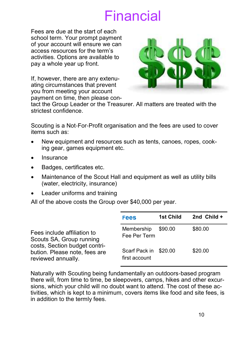# Financial

Fees are due at the start of each school term. Your prompt payment of your account will ensure we can access resources for the term's activities. Options are available to pay a whole year up front.

If, however, there are any extenuating circumstances that prevent you from meeting your account payment on time, then please con-



tact the Group Leader or the Treasurer. All matters are treated with the strictest confidence.

Scouting is a Not-For-Profit organisation and the fees are used to cover items such as:

- New equipment and resources such as tents, canoes, ropes, cooking gear, games equipment etc.
- Insurance
- Badges, certificates etc.
- Maintenance of the Scout Hall and equipment as well as utility bills (water, electricity, insurance)
- Leader uniforms and training

All of the above costs the Group over \$40,000 per year.

|                                                                                                                                                 | <b>Fees</b>                            | 1st Child | 2nd $Child +$ |
|-------------------------------------------------------------------------------------------------------------------------------------------------|----------------------------------------|-----------|---------------|
| Fees include affiliation to<br>Scouts SA, Group running<br>costs, Section budget contri-<br>bution. Please note, fees are<br>reviewed annually. | Membership<br>Fee Per Term             | \$90.00   | \$80.00       |
|                                                                                                                                                 | Scarf Pack in \$20.00<br>first account |           | \$20.00       |

Naturally with Scouting being fundamentally an outdoors-based program there will, from time to time, be sleepovers, camps, hikes and other excursions, which your child will no doubt want to attend. The cost of these activities, which is kept to a minimum, covers items like food and site fees, is in addition to the termly fees.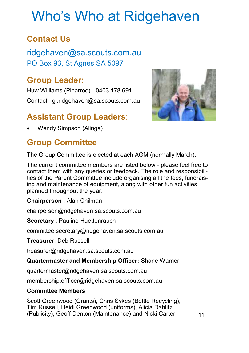# Who's Who at Ridgehaven

## **Contact Us**

ridgehaven@sa.scouts.com.au PO Box 93, St Agnes SA 5097

## **Group Leader:**

Huw Williams (Pinarroo) - 0403 178 691 Contact: gl.ridgehaven@sa.scouts.com.au

## **Assistant Group Leaders**:

Wendy Simpson (Alinga)

## **Group Committee**

The Group Committee is elected at each AGM (normally March).

The current committee members are listed below - please feel free to contact them with any queries or feedback. The role and responsibilities of the Parent Committee include organising all the fees, fundraising and maintenance of equipment, along with other fun activities planned throughout the year.

**Chairperson** : Alan Chilman

chairperson@ridgehaven.sa.scouts.com.au

**Secretary** : Pauline Huettenrauch

committee.secretary@ridgehaven.sa.scouts.com.au

**Treasurer**: Deb Russell

treasurer@ridgehaven.sa.scouts.com.au

**Quartermaster and Membership Officer:** Shane Warner

quartermaster@ridgehaven.sa.scouts.com.au

membership.offficer@ridgehaven.sa.scouts.com.au

#### **Committee Members**:

Scott Greenwood (Grants), Chris Sykes (Bottle Recycling), Tim Russell, Heidi Greenwood (uniforms), Alicia Dahlitz (Publicity), Geoff Denton (Maintenance) and Nicki Carter